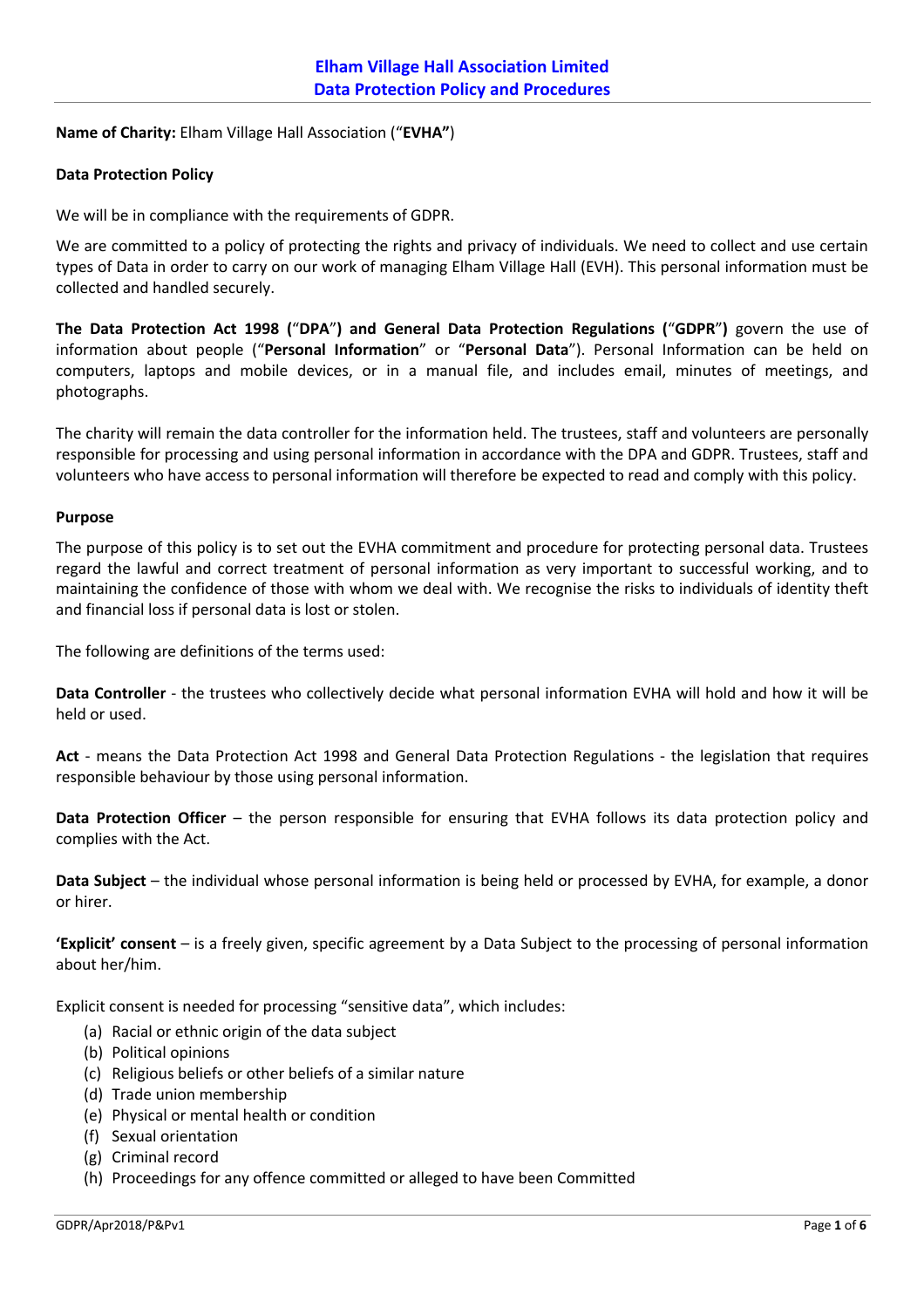**Name of Charity:** Elham Village Hall Association ("**EVHA"**)

## **Data Protection Policy**

We will be in compliance with the requirements of GDPR.

We are committed to a policy of protecting the rights and privacy of individuals. We need to collect and use certain types of Data in order to carry on our work of managing Elham Village Hall (EVH). This personal information must be collected and handled securely.

**The Data Protection Act 1998 (**"**DPA**"**) and General Data Protection Regulations (**"**GDPR**"**)** govern the use of information about people ("**Personal Information**" or "**Personal Data**"). Personal Information can be held on computers, laptops and mobile devices, or in a manual file, and includes email, minutes of meetings, and photographs.

The charity will remain the data controller for the information held. The trustees, staff and volunteers are personally responsible for processing and using personal information in accordance with the DPA and GDPR. Trustees, staff and volunteers who have access to personal information will therefore be expected to read and comply with this policy.

## **Purpose**

The purpose of this policy is to set out the EVHA commitment and procedure for protecting personal data. Trustees regard the lawful and correct treatment of personal information as very important to successful working, and to maintaining the confidence of those with whom we deal with. We recognise the risks to individuals of identity theft and financial loss if personal data is lost or stolen.

The following are definitions of the terms used:

**Data Controller** - the trustees who collectively decide what personal information EVHA will hold and how it will be held or used.

**Act** - means the Data Protection Act 1998 and General Data Protection Regulations - the legislation that requires responsible behaviour by those using personal information.

**Data Protection Officer** – the person responsible for ensuring that EVHA follows its data protection policy and complies with the Act.

**Data Subject** – the individual whose personal information is being held or processed by EVHA, for example, a donor or hirer.

**'Explicit' consent** – is a freely given, specific agreement by a Data Subject to the processing of personal information about her/him.

Explicit consent is needed for processing "sensitive data", which includes:

- (a) Racial or ethnic origin of the data subject
- (b) Political opinions
- (c) Religious beliefs or other beliefs of a similar nature
- (d) Trade union membership
- (e) Physical or mental health or condition
- (f) Sexual orientation
- (g) Criminal record
- (h) Proceedings for any offence committed or alleged to have been Committed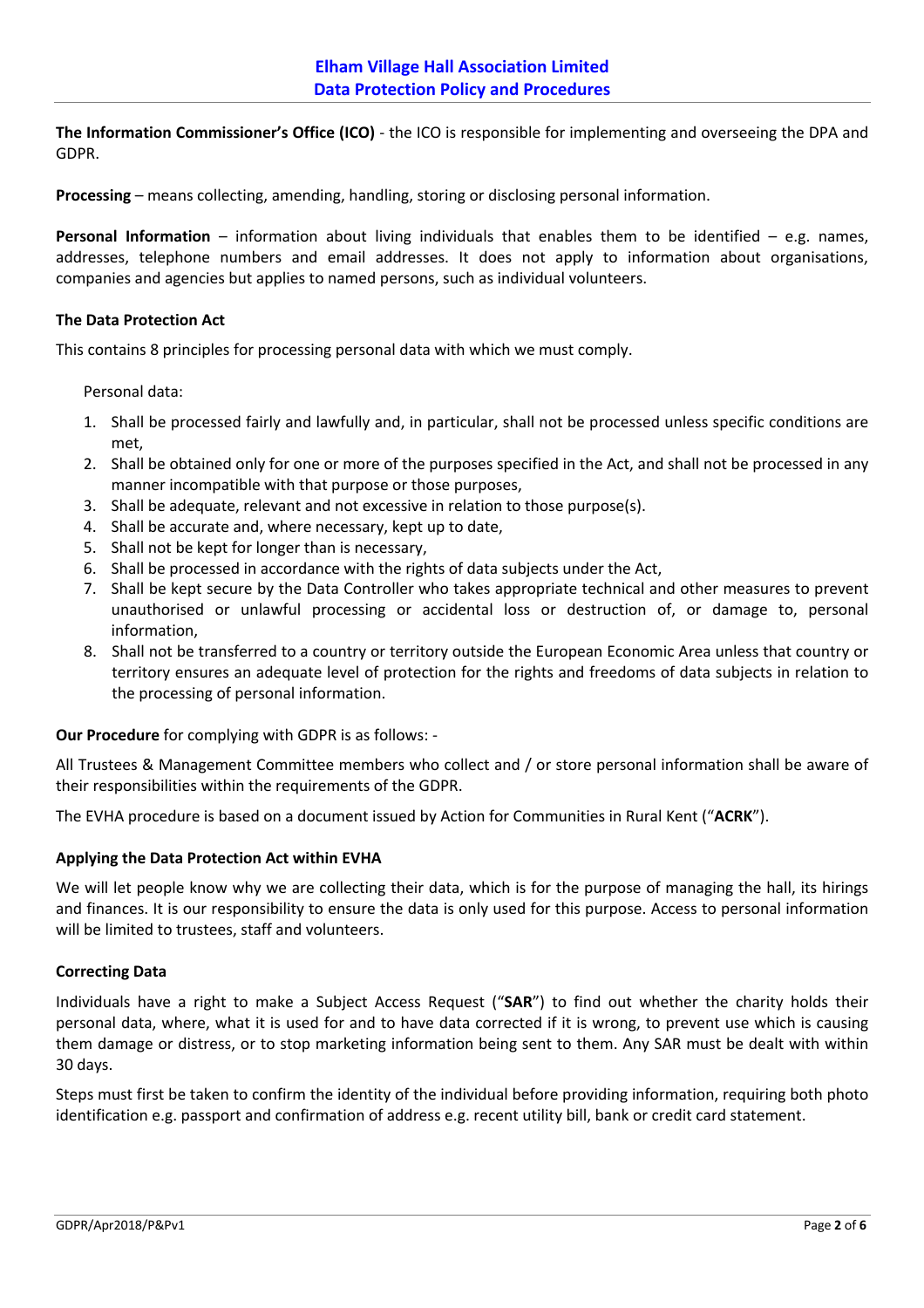**The Information Commissioner's Office (ICO)** - the ICO is responsible for implementing and overseeing the DPA and GDPR.

**Processing** – means collecting, amending, handling, storing or disclosing personal information.

**Personal Information** – information about living individuals that enables them to be identified – e.g. names, addresses, telephone numbers and email addresses. It does not apply to information about organisations, companies and agencies but applies to named persons, such as individual volunteers.

## **The Data Protection Act**

This contains 8 principles for processing personal data with which we must comply.

Personal data:

- 1. Shall be processed fairly and lawfully and, in particular, shall not be processed unless specific conditions are met,
- 2. Shall be obtained only for one or more of the purposes specified in the Act, and shall not be processed in any manner incompatible with that purpose or those purposes,
- 3. Shall be adequate, relevant and not excessive in relation to those purpose(s).
- 4. Shall be accurate and, where necessary, kept up to date,
- 5. Shall not be kept for longer than is necessary,
- 6. Shall be processed in accordance with the rights of data subjects under the Act,
- 7. Shall be kept secure by the Data Controller who takes appropriate technical and other measures to prevent unauthorised or unlawful processing or accidental loss or destruction of, or damage to, personal information,
- 8. Shall not be transferred to a country or territory outside the European Economic Area unless that country or territory ensures an adequate level of protection for the rights and freedoms of data subjects in relation to the processing of personal information.

**Our Procedure** for complying with GDPR is as follows: -

All Trustees & Management Committee members who collect and / or store personal information shall be aware of their responsibilities within the requirements of the GDPR.

The EVHA procedure is based on a document issued by Action for Communities in Rural Kent ("**ACRK**").

## **Applying the Data Protection Act within EVHA**

We will let people know why we are collecting their data, which is for the purpose of managing the hall, its hirings and finances. It is our responsibility to ensure the data is only used for this purpose. Access to personal information will be limited to trustees, staff and volunteers.

## **Correcting Data**

Individuals have a right to make a Subject Access Request ("**SAR**") to find out whether the charity holds their personal data, where, what it is used for and to have data corrected if it is wrong, to prevent use which is causing them damage or distress, or to stop marketing information being sent to them. Any SAR must be dealt with within 30 days.

Steps must first be taken to confirm the identity of the individual before providing information, requiring both photo identification e.g. passport and confirmation of address e.g. recent utility bill, bank or credit card statement.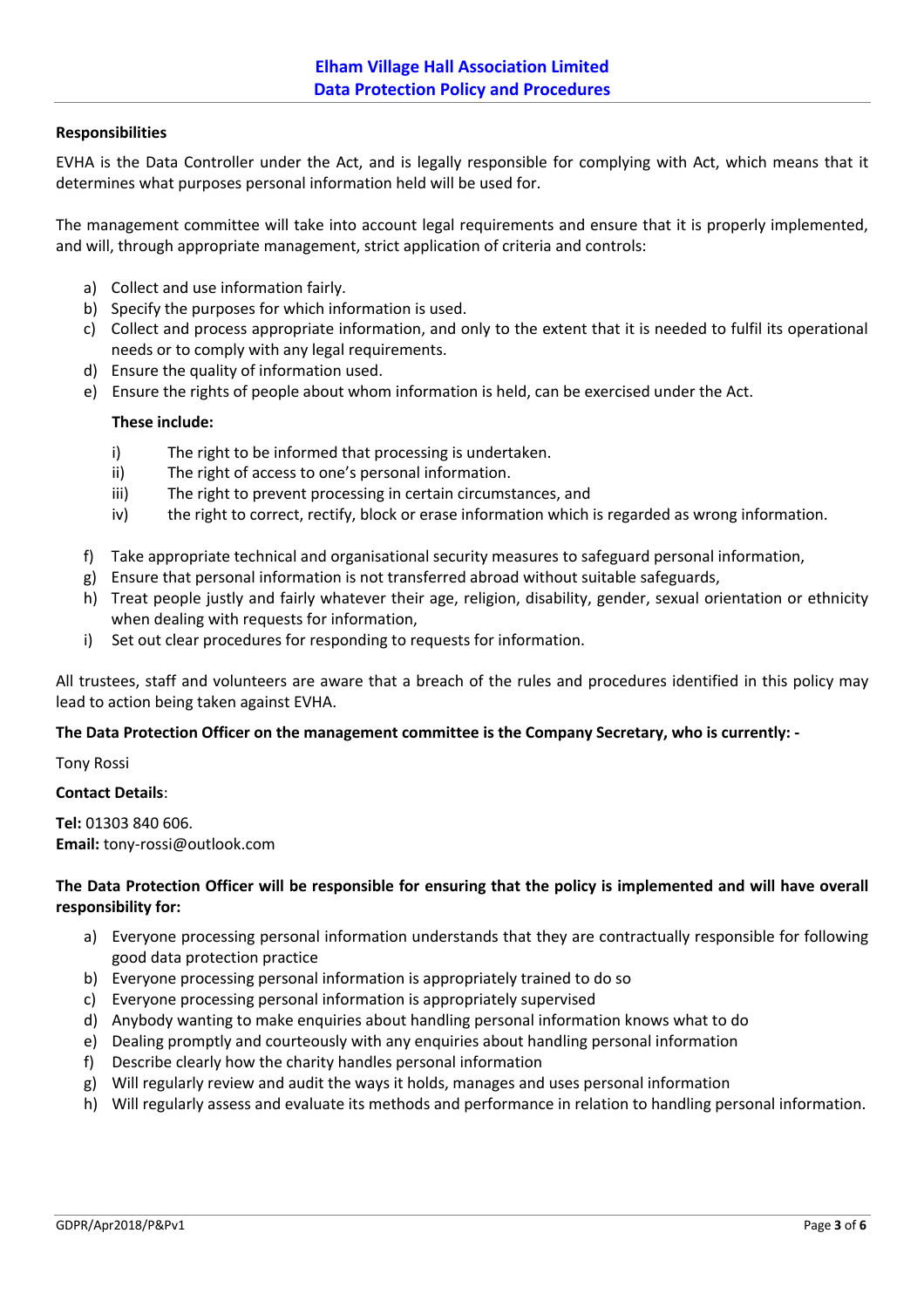# **Responsibilities**

EVHA is the Data Controller under the Act, and is legally responsible for complying with Act, which means that it determines what purposes personal information held will be used for.

The management committee will take into account legal requirements and ensure that it is properly implemented, and will, through appropriate management, strict application of criteria and controls:

- a) Collect and use information fairly.
- b) Specify the purposes for which information is used.
- c) Collect and process appropriate information, and only to the extent that it is needed to fulfil its operational needs or to comply with any legal requirements.
- d) Ensure the quality of information used.
- e) Ensure the rights of people about whom information is held, can be exercised under the Act.

## **These include:**

- i) The right to be informed that processing is undertaken.
- ii) The right of access to one's personal information.
- iii) The right to prevent processing in certain circumstances, and
- iv) the right to correct, rectify, block or erase information which is regarded as wrong information.
- f) Take appropriate technical and organisational security measures to safeguard personal information,
- g) Ensure that personal information is not transferred abroad without suitable safeguards,
- h) Treat people justly and fairly whatever their age, religion, disability, gender, sexual orientation or ethnicity when dealing with requests for information,
- i) Set out clear procedures for responding to requests for information.

All trustees, staff and volunteers are aware that a breach of the rules and procedures identified in this policy may lead to action being taken against EVHA.

## **The Data Protection Officer on the management committee is the Company Secretary, who is currently: -**

Tony Rossi

## **Contact Details**:

**Tel:** 01303 840 606. **Email:** tony-rossi@outlook.com

# **The Data Protection Officer will be responsible for ensuring that the policy is implemented and will have overall responsibility for:**

- a) Everyone processing personal information understands that they are contractually responsible for following good data protection practice
- b) Everyone processing personal information is appropriately trained to do so
- c) Everyone processing personal information is appropriately supervised
- d) Anybody wanting to make enquiries about handling personal information knows what to do
- e) Dealing promptly and courteously with any enquiries about handling personal information
- f) Describe clearly how the charity handles personal information
- g) Will regularly review and audit the ways it holds, manages and uses personal information
- h) Will regularly assess and evaluate its methods and performance in relation to handling personal information.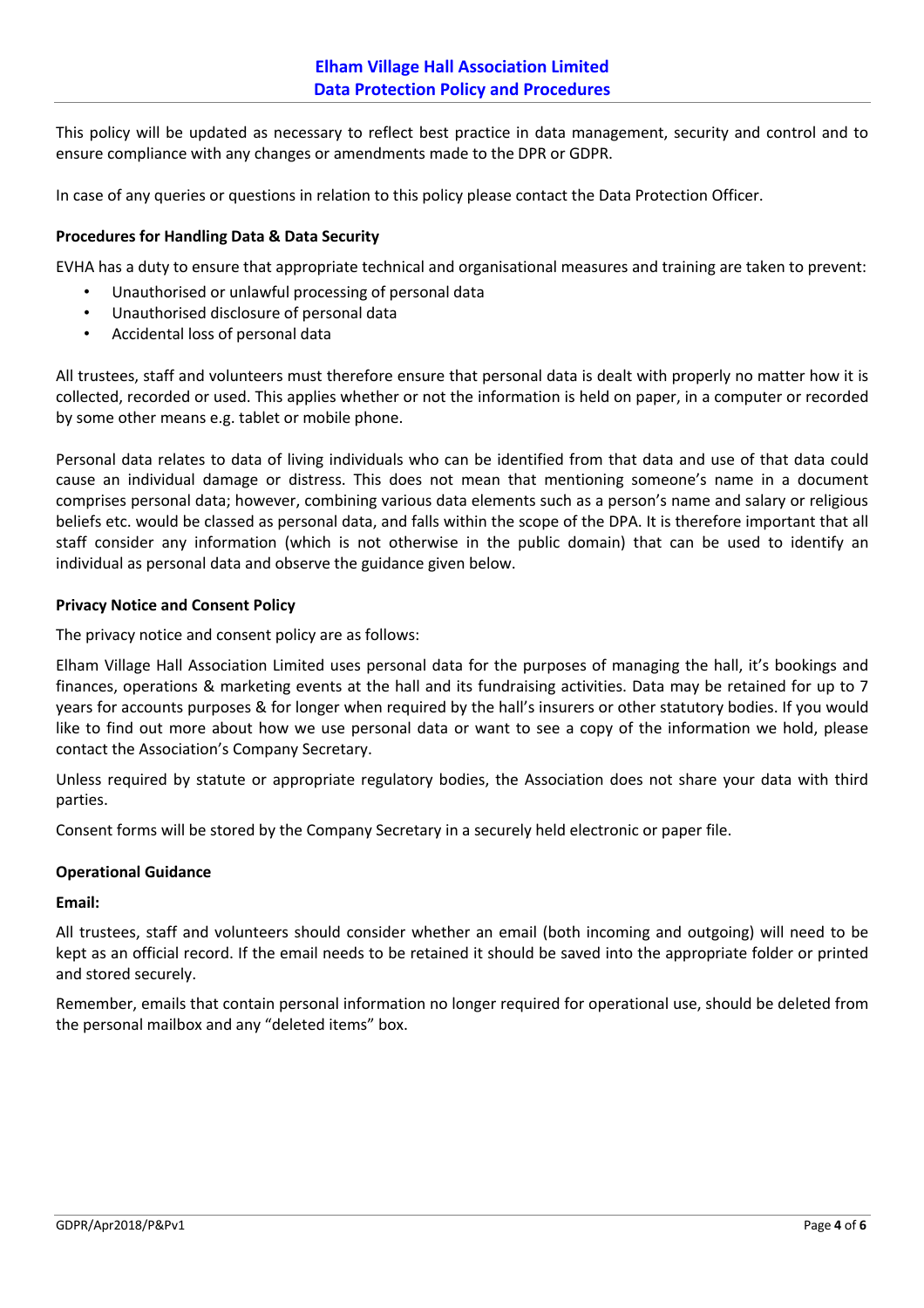This policy will be updated as necessary to reflect best practice in data management, security and control and to ensure compliance with any changes or amendments made to the DPR or GDPR.

In case of any queries or questions in relation to this policy please contact the Data Protection Officer.

## **Procedures for Handling Data & Data Security**

EVHA has a duty to ensure that appropriate technical and organisational measures and training are taken to prevent:

- Unauthorised or unlawful processing of personal data
- Unauthorised disclosure of personal data
- Accidental loss of personal data

All trustees, staff and volunteers must therefore ensure that personal data is dealt with properly no matter how it is collected, recorded or used. This applies whether or not the information is held on paper, in a computer or recorded by some other means e.g. tablet or mobile phone.

Personal data relates to data of living individuals who can be identified from that data and use of that data could cause an individual damage or distress. This does not mean that mentioning someone's name in a document comprises personal data; however, combining various data elements such as a person's name and salary or religious beliefs etc. would be classed as personal data, and falls within the scope of the DPA. It is therefore important that all staff consider any information (which is not otherwise in the public domain) that can be used to identify an individual as personal data and observe the guidance given below.

## **Privacy Notice and Consent Policy**

The privacy notice and consent policy are as follows:

Elham Village Hall Association Limited uses personal data for the purposes of managing the hall, it's bookings and finances, operations & marketing events at the hall and its fundraising activities. Data may be retained for up to 7 years for accounts purposes & for longer when required by the hall's insurers or other statutory bodies. If you would like to find out more about how we use personal data or want to see a copy of the information we hold, please contact the Association's Company Secretary.

Unless required by statute or appropriate regulatory bodies, the Association does not share your data with third parties.

Consent forms will be stored by the Company Secretary in a securely held electronic or paper file.

## **Operational Guidance**

## **Email:**

All trustees, staff and volunteers should consider whether an email (both incoming and outgoing) will need to be kept as an official record. If the email needs to be retained it should be saved into the appropriate folder or printed and stored securely.

Remember, emails that contain personal information no longer required for operational use, should be deleted from the personal mailbox and any "deleted items" box.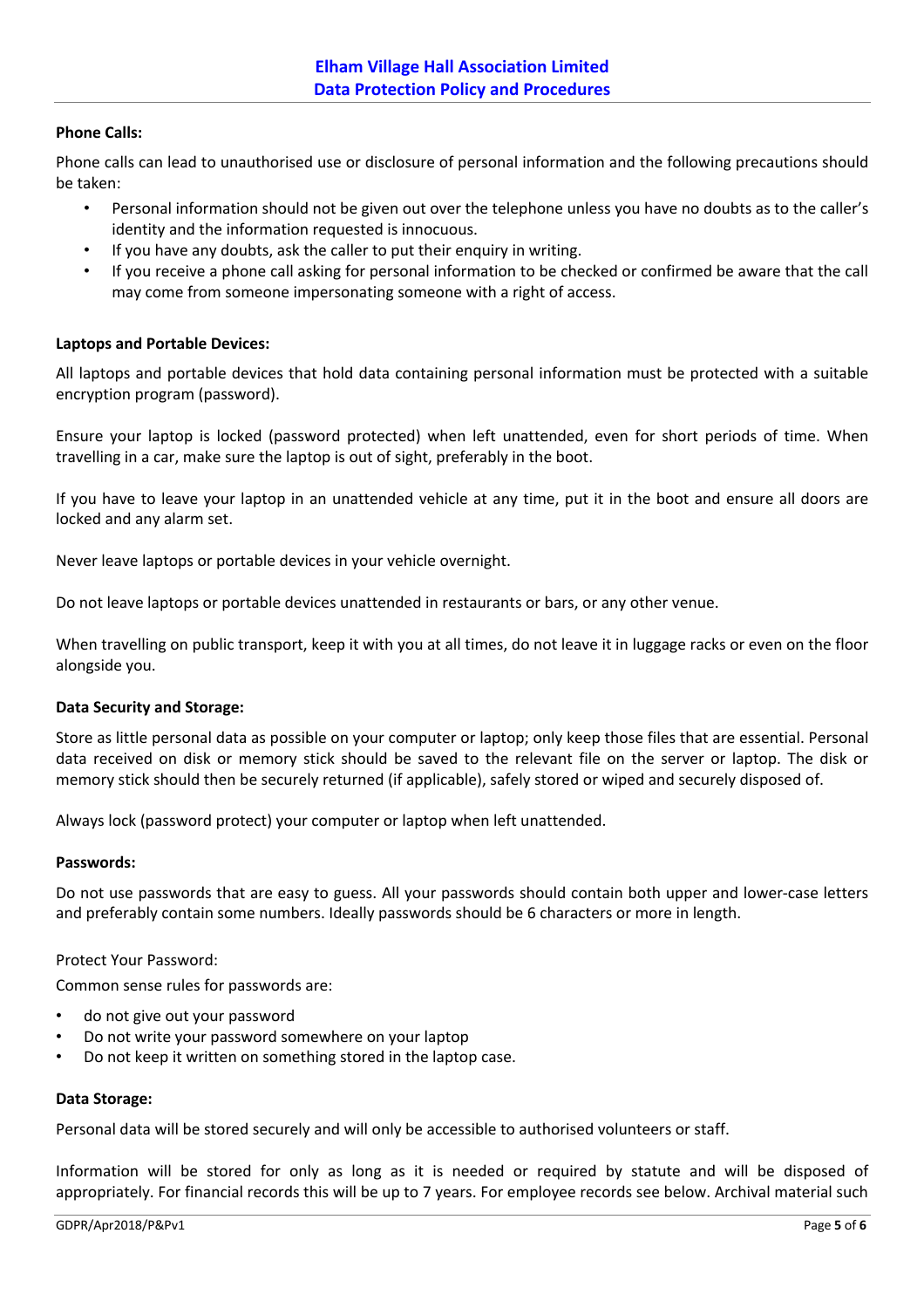# **Phone Calls:**

Phone calls can lead to unauthorised use or disclosure of personal information and the following precautions should be taken:

- Personal information should not be given out over the telephone unless you have no doubts as to the caller's identity and the information requested is innocuous.
- If you have any doubts, ask the caller to put their enquiry in writing.
- If you receive a phone call asking for personal information to be checked or confirmed be aware that the call may come from someone impersonating someone with a right of access.

## **Laptops and Portable Devices:**

All laptops and portable devices that hold data containing personal information must be protected with a suitable encryption program (password).

Ensure your laptop is locked (password protected) when left unattended, even for short periods of time. When travelling in a car, make sure the laptop is out of sight, preferably in the boot.

If you have to leave your laptop in an unattended vehicle at any time, put it in the boot and ensure all doors are locked and any alarm set.

Never leave laptops or portable devices in your vehicle overnight.

Do not leave laptops or portable devices unattended in restaurants or bars, or any other venue.

When travelling on public transport, keep it with you at all times, do not leave it in luggage racks or even on the floor alongside you.

## **Data Security and Storage:**

Store as little personal data as possible on your computer or laptop; only keep those files that are essential. Personal data received on disk or memory stick should be saved to the relevant file on the server or laptop. The disk or memory stick should then be securely returned (if applicable), safely stored or wiped and securely disposed of.

Always lock (password protect) your computer or laptop when left unattended.

#### **Passwords:**

Do not use passwords that are easy to guess. All your passwords should contain both upper and lower-case letters and preferably contain some numbers. Ideally passwords should be 6 characters or more in length.

## Protect Your Password:

Common sense rules for passwords are:

- do not give out your password
- Do not write your password somewhere on your laptop
- Do not keep it written on something stored in the laptop case.

#### **Data Storage:**

Personal data will be stored securely and will only be accessible to authorised volunteers or staff.

Information will be stored for only as long as it is needed or required by statute and will be disposed of appropriately. For financial records this will be up to 7 years. For employee records see below. Archival material such